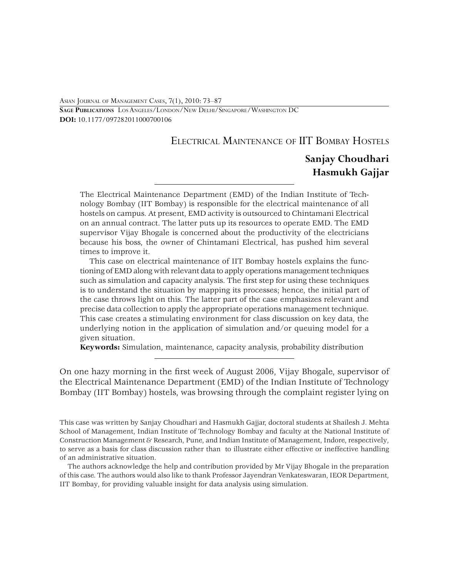**SAGE PUBLICATIONS** LOS ANGELES/LONDON/NEW DELHI/SINGAPORE/WASHINGTON DC **DOI:** 10.1177/097282011000700106

## ELECTRICAL MAINTENANCE OF IIT BOMBAY HOSTELS

# **Sanjay Choudhari Hasmukh Gajjar**

The Electrical Maintenance Department (EMD) of the Indian Institute of Technology Bombay (IIT Bombay) is responsible for the electrical maintenance of all hostels on campus. At present, EMD activity is outsourced to Chintamani Electrical on an annual contract. The latter puts up its resources to operate EMD. The EMD supervisor Vijay Bhogale is concerned about the productivity of the electricians because his boss, the owner of Chintamani Electrical, has pushed him several times to improve it.

This case on electrical maintenance of IIT Bombay hostels explains the functioning of EMD along with relevant data to apply operations management techniques such as simulation and capacity analysis. The first step for using these techniques is to understand the situation by mapping its processes; hence, the initial part of the case throws light on this. The latter part of the case emphasizes relevant and precise data collection to apply the appropriate operations management technique. This case creates a stimulating environment for class discussion on key data, the underlying notion in the application of simulation and/or queuing model for a given situation.

**Keywords:** Simulation, maintenance, capacity analysis, probability distribution

On one hazy morning in the first week of August 2006, Vijay Bhogale, supervisor of the Electrical Maintenance Department (EMD) of the Indian Institute of Technology Bombay (IIT Bombay) hostels, was browsing through the complaint register lying on

The authors acknowledge the help and contribution provided by Mr Vijay Bhogale in the preparation of this case. The authors would also like to thank Professor Jayendran Venkateswaran, IEOR Department, IIT Bombay, for providing valuable insight for data analysis using simulation.

This case was written by Sanjay Choudhari and Hasmukh Gajjar, doctoral students at Shailesh J. Mehta School of Management, Indian Institute of Technology Bombay and faculty at the National Institute of Construction Management & Research, Pune, and Indian Institute of Management, Indore, respectively, to serve as a basis for class discussion rather than to illustrate either effective or ineffective handling of an administrative situation.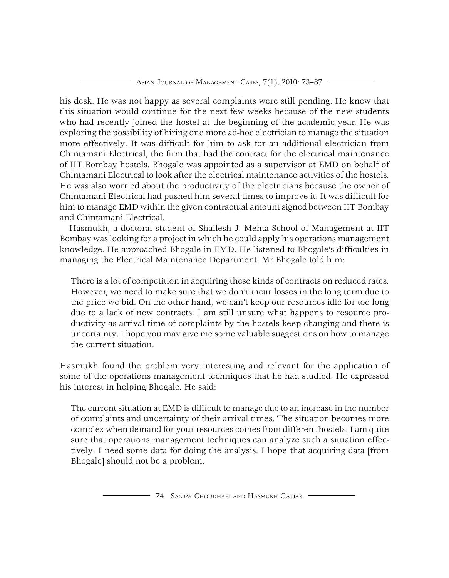his desk. He was not happy as several complaints were still pending. He knew that this situation would continue for the next few weeks because of the new students who had recently joined the hostel at the beginning of the academic year. He was exploring the possibility of hiring one more ad-hoc electrician to manage the situation more effectively. It was difficult for him to ask for an additional electrician from Chintamani Electrical, the firm that had the contract for the electrical maintenance of IIT Bombay hostels. Bhogale was appointed as a supervisor at EMD on behalf of Chintamani Electrical to look after the electrical maintenance activities of the hostels. He was also worried about the productivity of the electricians because the owner of Chintamani Electrical had pushed him several times to improve it. It was difficult for him to manage EMD within the given contractual amount signed between IIT Bombay and Chintamani Electrical.

Hasmukh, a doctoral student of Shailesh J. Mehta School of Management at IIT Bombay was looking for a project in which he could apply his operations management knowledge. He approached Bhogale in EMD. He listened to Bhogale's difficulties in managing the Electrical Maintenance Department. Mr Bhogale told him:

There is a lot of competition in acquiring these kinds of contracts on reduced rates. However, we need to make sure that we don't incur losses in the long term due to the price we bid. On the other hand, we can't keep our resources idle for too long due to a lack of new contracts. I am still unsure what happens to resource productivity as arrival time of complaints by the hostels keep changing and there is uncertainty. I hope you may give me some valuable suggestions on how to manage the current situation.

Hasmukh found the problem very interesting and relevant for the application of some of the operations management techniques that he had studied. He expressed his interest in helping Bhogale. He said:

The current situation at EMD is difficult to manage due to an increase in the number of complaints and uncertainty of their arrival times. The situation becomes more complex when demand for your resources comes from different hostels. I am quite sure that operations management techniques can analyze such a situation effectively. I need some data for doing the analysis. I hope that acquiring data [from Bhogale] should not be a problem.

- 74 SANJAY CHOUDHARI AND HASMUKH GAJJAR -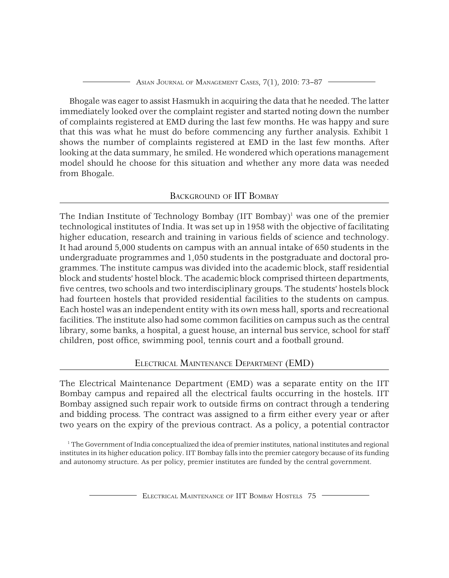Bhogale was eager to assist Hasmukh in acquiring the data that he needed. The latter immediately looked over the complaint register and started noting down the number of complaints registered at EMD during the last few months. He was happy and sure that this was what he must do before commencing any further analysis. Exhibit 1 shows the number of complaints registered at EMD in the last few months. After looking at the data summary, he smiled. He wondered which operations management model should he choose for this situation and whether any more data was needed from Bhogale.

## BACKGROUND OF IIT BOMBAY

The Indian Institute of Technology Bombay (IIT Bombay)<sup>1</sup> was one of the premier technological institutes of India. It was set up in 1958 with the objective of facilitating higher education, research and training in various fields of science and technology. It had around 5,000 students on campus with an annual intake of 650 students in the undergraduate programmes and 1,050 students in the postgraduate and doctoral programmes. The institute campus was divided into the academic block, staff residential block and students' hostel block. The academic block comprised thirteen departments, five centres, two schools and two interdisciplinary groups. The students' hostels block had fourteen hostels that provided residential facilities to the students on campus. Each hostel was an independent entity with its own mess hall, sports and recreational facilities. The institute also had some common facilities on campus such as the central library, some banks, a hospital, a guest house, an internal bus service, school for staff children, post office, swimming pool, tennis court and a football ground.

## ELECTRICAL MAINTENANCE DEPARTMENT (EMD)

The Electrical Maintenance Department (EMD) was a separate entity on the IIT Bombay campus and repaired all the electrical faults occurring in the hostels. IIT Bombay assigned such repair work to outside firms on contract through a tendering and bidding process. The contract was assigned to a firm either every year or after two years on the expiry of the previous contract. As a policy, a potential contractor

1 The Government of India conceptualized the idea of premier institutes, national institutes and regional institutes in its higher education policy. IIT Bombay falls into the premier category because of its funding and autonomy structure. As per policy, premier institutes are funded by the central government.

ELECTRICAL MAINTENANCE OF IIT BOMBAY HOSTELS 75 -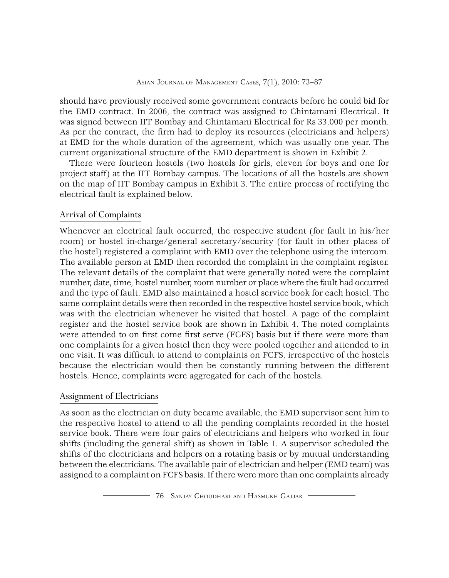should have previously received some government contracts before he could bid for the EMD contract. In 2006, the contract was assigned to Chintamani Electrical. It was signed between IIT Bombay and Chintamani Electrical for Rs 33,000 per month. As per the contract, the firm had to deploy its resources (electricians and helpers) at EMD for the whole duration of the agreement, which was usually one year. The current organizational structure of the EMD department is shown in Exhibit 2.

There were fourteen hostels (two hostels for girls, eleven for boys and one for project staff) at the IIT Bombay campus. The locations of all the hostels are shown on the map of IIT Bombay campus in Exhibit 3. The entire process of rectifying the electrical fault is explained below.

## Arrival of Complaints

Whenever an electrical fault occurred, the respective student (for fault in his/her room) or hostel in-charge/general secretary/security (for fault in other places of the hostel) registered a complaint with EMD over the telephone using the intercom. The available person at EMD then recorded the complaint in the complaint register. The relevant details of the complaint that were generally noted were the complaint number, date, time, hostel number, room number or place where the fault had occurred and the type of fault. EMD also maintained a hostel service book for each hostel. The same complaint details were then recorded in the respective hostel service book, which was with the electrician whenever he visited that hostel. A page of the complaint register and the hostel service book are shown in Exhibit 4. The noted complaints were attended to on first come first serve (FCFS) basis but if there were more than one complaints for a given hostel then they were pooled together and attended to in one visit. It was difficult to attend to complaints on FCFS, irrespective of the hostels because the electrician would then be constantly running between the different hostels. Hence, complaints were aggregated for each of the hostels.

## Assignment of Electricians

As soon as the electrician on duty became available, the EMD supervisor sent him to the respective hostel to attend to all the pending complaints recorded in the hostel service book. There were four pairs of electricians and helpers who worked in four shifts (including the general shift) as shown in Table 1. A supervisor scheduled the shifts of the electricians and helpers on a rotating basis or by mutual understanding between the electricians. The available pair of electrician and helper (EMD team) was assigned to a complaint on FCFS basis. If there were more than one complaints already

76 SANJAY CHOUDHARI AND HASMUKH GAJJAR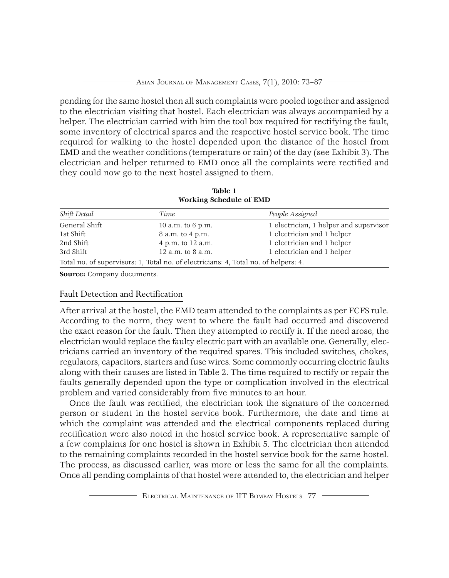pending for the same hostel then all such complaints were pooled together and assigned to the electrician visiting that hostel. Each electrician was always accompanied by a helper. The electrician carried with him the tool box required for rectifying the fault, some inventory of electrical spares and the respective hostel service book. The time required for walking to the hostel depended upon the distance of the hostel from EMD and the weather conditions (temperature or rain) of the day (see Exhibit 3). The electrician and helper returned to EMD once all the complaints were rectified and they could now go to the next hostel assigned to them.

|               | WOTKING SCHEDUIE OF EMD                                                             |                                        |
|---------------|-------------------------------------------------------------------------------------|----------------------------------------|
| Shift Detail  | Time                                                                                | People Assigned                        |
| General Shift | 10 a.m. to $6$ p.m.                                                                 | 1 electrician, 1 helper and supervisor |
| 1st Shift     | 8 a.m. to 4 p.m.                                                                    | 1 electrician and 1 helper             |
| 2nd Shift     | 4 p.m. to 12 a.m.                                                                   | 1 electrician and 1 helper             |
| 3rd Shift     | 12 a.m. to 8 a.m.                                                                   | 1 electrician and 1 helper             |
|               | Total no. of supervisors: 1, Total no. of electricians: 4, Total no. of helpers: 4. |                                        |

**Table 1 Working Schedule of EMD**

**Source:** Company documents.

### Fault Detection and Rectification

After arrival at the hostel, the EMD team attended to the complaints as per FCFS rule. According to the norm, they went to where the fault had occurred and discovered the exact reason for the fault. Then they attempted to rectify it. If the need arose, the electrician would replace the faulty electric part with an available one. Generally, electricians carried an inventory of the required spares. This included switches, chokes, regulators, capacitors, starters and fuse wires. Some commonly occurring electric faults along with their causes are listed in Table 2. The time required to rectify or repair the faults generally depended upon the type or complication involved in the electrical problem and varied considerably from five minutes to an hour.

Once the fault was rectified, the electrician took the signature of the concerned person or student in the hostel service book. Furthermore, the date and time at which the complaint was attended and the electrical components replaced during rectification were also noted in the hostel service book. A representative sample of a few complaints for one hostel is shown in Exhibit 5. The electrician then attended to the remaining complaints recorded in the hostel service book for the same hostel. The process, as discussed earlier, was more or less the same for all the complaints. Once all pending complaints of that hostel were attended to, the electrician and helper

ELECTRICAL MAINTENANCE OF IIT BOMBAY HOSTELS 77 -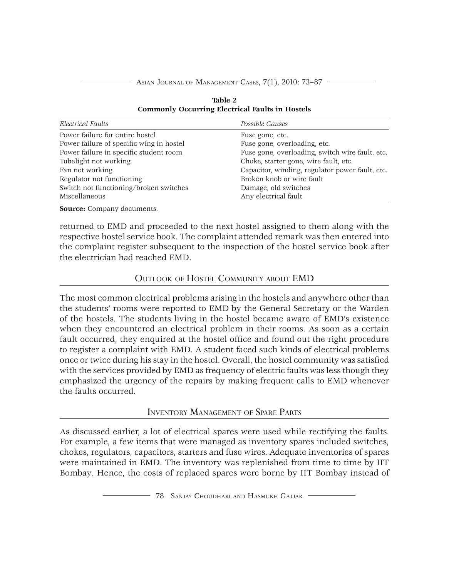| Electrical Faults                        | Possible Causes                                 |
|------------------------------------------|-------------------------------------------------|
| Power failure for entire hostel          | Fuse gone, etc.                                 |
| Power failure of specific wing in hostel | Fuse gone, overloading, etc.                    |
| Power failure in specific student room   | Fuse gone, overloading, switch wire fault, etc. |
| Tubelight not working                    | Choke, starter gone, wire fault, etc.           |
| Fan not working                          | Capacitor, winding, regulator power fault, etc. |
| Regulator not functioning                | Broken knob or wire fault                       |
| Switch not functioning/broken switches   | Damage, old switches                            |
| Miscellaneous                            | Any electrical fault                            |

**Table 2 Commonly Occurring Electrical Faults in Hostels**

**Source:** Company documents.

returned to EMD and proceeded to the next hostel assigned to them along with the respective hostel service book. The complaint attended remark was then entered into the complaint register subsequent to the inspection of the hostel service book after the electrician had reached EMD.

### OUTLOOK OF HOSTEL COMMUNITY ABOUT EMD

The most common electrical problems arising in the hostels and anywhere other than the students' rooms were reported to EMD by the General Secretary or the Warden of the hostels. The students living in the hostel became aware of EMD's existence when they encountered an electrical problem in their rooms. As soon as a certain fault occurred, they enquired at the hostel office and found out the right procedure to register a complaint with EMD. A student faced such kinds of electrical problems once or twice during his stay in the hostel. Overall, the hostel community was satisfied with the services provided by EMD as frequency of electric faults was less though they emphasized the urgency of the repairs by making frequent calls to EMD whenever the faults occurred.

### INVENTORY MANAGEMENT OF SPARE PARTS

As discussed earlier, a lot of electrical spares were used while rectifying the faults. For example, a few items that were managed as inventory spares included switches, chokes, regulators, capacitors, starters and fuse wires. Adequate inventories of spares were maintained in EMD. The inventory was replenished from time to time by IIT Bombay. Hence, the costs of replaced spares were borne by IIT Bombay instead of

78 SANJAY CHOUDHARI AND HASMUKH GAJJAR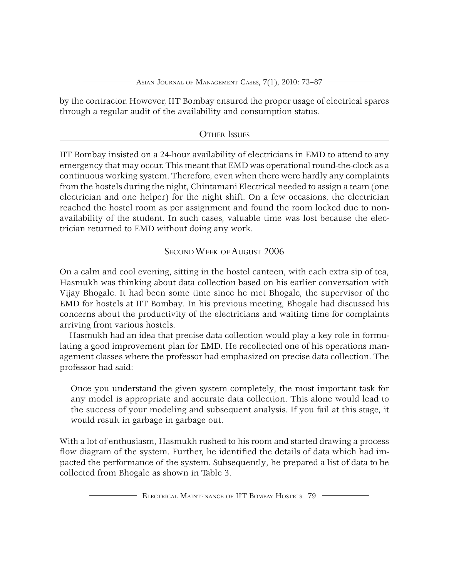by the contractor. However, IIT Bombay ensured the proper usage of electrical spares through a regular audit of the availability and consumption status.

### **OTHER ISSUES**

IIT Bombay insisted on a 24-hour availability of electricians in EMD to attend to any emergency that may occur. This meant that EMD was operational round-the-clock as a continuous working system. Therefore, even when there were hardly any complaints from the hostels during the night, Chintamani Electrical needed to assign a team (one electrician and one helper) for the night shift. On a few occasions, the electrician reached the hostel room as per assignment and found the room locked due to nonavailability of the student. In such cases, valuable time was lost because the electrician returned to EMD without doing any work.

# SECOND WEEK OF AUGUST 2006

On a calm and cool evening, sitting in the hostel canteen, with each extra sip of tea, Hasmukh was thinking about data collection based on his earlier conversation with Vijay Bhogale. It had been some time since he met Bhogale, the supervisor of the EMD for hostels at IIT Bombay. In his previous meeting, Bhogale had discussed his concerns about the productivity of the electricians and waiting time for complaints arriving from various hostels.

Hasmukh had an idea that precise data collection would play a key role in formulating a good improvement plan for EMD. He recollected one of his operations management classes where the professor had emphasized on precise data collection. The professor had said:

Once you understand the given system completely, the most important task for any model is appropriate and accurate data collection. This alone would lead to the success of your modeling and subsequent analysis. If you fail at this stage, it would result in garbage in garbage out.

With a lot of enthusiasm, Hasmukh rushed to his room and started drawing a process flow diagram of the system. Further, he identified the details of data which had impacted the performance of the system. Subsequently, he prepared a list of data to be collected from Bhogale as shown in Table 3.

ELECTRICAL MAINTENANCE OF IIT BOMBAY HOSTELS 79 -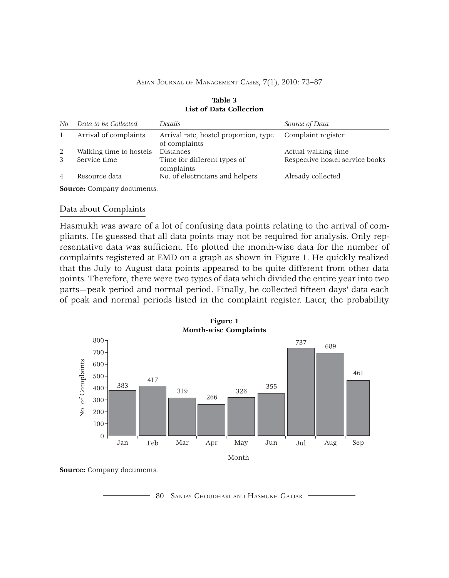| No. | Data to be Collected    | Details                                                | Source of Data                  |
|-----|-------------------------|--------------------------------------------------------|---------------------------------|
|     | Arrival of complaints   | Arrival rate, hostel proportion, type<br>of complaints | Complaint register              |
| -2  | Walking time to hostels | Distances                                              | Actual walking time             |
|     | Service time            | Time for different types of<br>complaints              | Respective hostel service books |
| 4   | Resource data           | No. of electricians and helpers                        | Already collected               |

**Table 3 List of Data Collection** 

**Source:** Company documents.

#### Data about Complaints

Hasmukh was aware of a lot of confusing data points relating to the arrival of compliants. He guessed that all data points may not be required for analysis. Only representative data was sufficient. He plotted the month-wise data for the number of complaints registered at EMD on a graph as shown in Figure 1. He quickly realized that the July to August data points appeared to be quite different from other data points. Therefore, there were two types of data which divided the entire year into two parts—peak period and normal period. Finally, he collected fifteen days' data each of peak and normal periods listed in the complaint register. Later, the probability



**Source:** Company documents.

80 SANJAY CHOUDHARI AND HASMUKH GAJJAR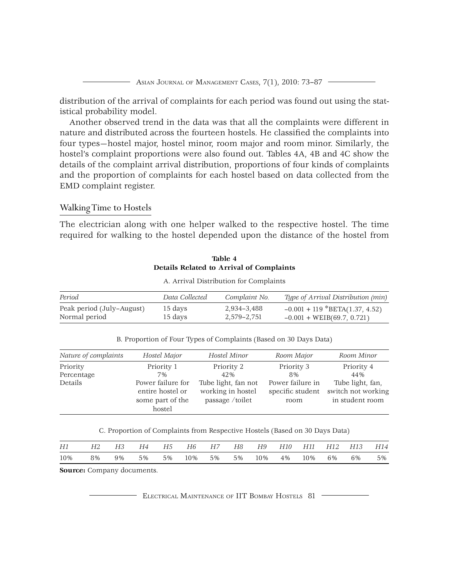distribution of the arrival of complaints for each period was found out using the statistical probability model.

Another observed trend in the data was that all the complaints were different in nature and distributed across the fourteen hostels. He classified the complaints into four types—hostel major, hostel minor, room major and room minor. Similarly, the hostel's complaint proportions were also found out. Tables 4A, 4B and 4C show the details of the complaint arrival distribution, proportions of four kinds of complaints and the proportion of complaints for each hostel based on data collected from the EMD complaint register.

### Walking Time to Hostels

The electrician along with one helper walked to the respective hostel. The time required for walking to the hostel depended upon the distance of the hostel from

|                           |                | A. Arrival Distribution for Complaints |                                     |
|---------------------------|----------------|----------------------------------------|-------------------------------------|
| Period                    | Data Collected | Complaint No.                          | Type of Arrival Distribution (min)  |
| Peak period (July–August) | 15 days        | 2,934–3,488                            | $-0.001 + 119$ *BETA $(1.37, 4.52)$ |
| Normal period             | 15 days        | 2,579–2,751                            | $-0.001 + \text{WEIB}(69.7, 0.721)$ |

**Table 4 Details Related to Arrival of Complaints**

| B. Proportion of Four Types of Complaints (Based on 30 Days Data) |  |  |  |
|-------------------------------------------------------------------|--|--|--|
|-------------------------------------------------------------------|--|--|--|

| Nature of complaints              | Hostel Major                                                                            | Hostel Minor                                                                     | Room Major                                                       | Room Minor                                                                     |
|-----------------------------------|-----------------------------------------------------------------------------------------|----------------------------------------------------------------------------------|------------------------------------------------------------------|--------------------------------------------------------------------------------|
| Priority<br>Percentage<br>Details | Priority 1<br>7%<br>Power failure for<br>entire hostel or<br>some part of the<br>hostel | Priority 2<br>42%<br>Tube light, fan not<br>working in hostel<br>passage /toilet | Priority 3<br>8%<br>Power failure in<br>specific student<br>room | Priority 4<br>44%<br>Tube light, fan,<br>switch not working<br>in student room |

C. Proportion of Complaints from Respective Hostels (Based on 30 Days Data)

| H1  | Н2 | НЗ | Н4 | H5 | H6  | <i>H7</i> | H8 | H9  | H10 |     | H11 H12 H13 |    | H14 |
|-----|----|----|----|----|-----|-----------|----|-----|-----|-----|-------------|----|-----|
| 10% | 8% | 9% | 5% | 5% | 10% | 5%        | 5% | 10% | 4%  | 10% | 6%          | 6% | 5%  |

**Source:** Company documents.

- ELECTRICAL MAINTENANCE OF HT BOMBAY HOSTELS 81 -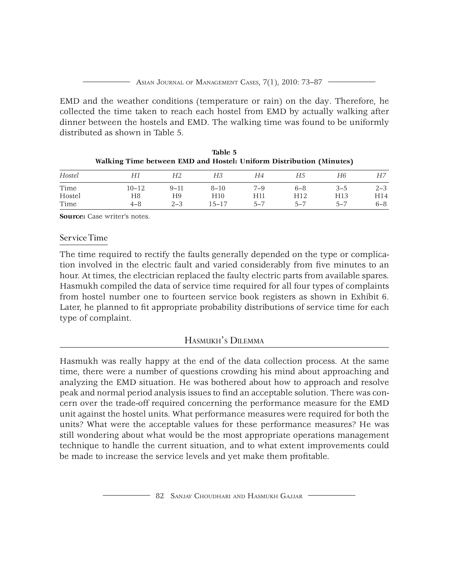EMD and the weather conditions (temperature or rain) on the day. Therefore, he collected the time taken to reach each hostel from EMD by actually walking after dinner between the hostels and EMD. The walking time was found to be uniformly distributed as shown in Table 5.

|        | -       |          |           |         |         |         |         |
|--------|---------|----------|-----------|---------|---------|---------|---------|
| Hostel | H1      | Н2       | Н3        | Η4      | Η5      | Η6      | Н7      |
| Time   | 10–12   | $9 - 11$ | $8 - 10$  | $7 - 9$ | $6 - 8$ | $3 - 5$ | $2 - 3$ |
| Hostel | H8      | H9       | H10       | H11     | H12     | H13     | H14     |
| Time   | $4 - 8$ | $2 - 3$  | $15 - 17$ | $5 - 7$ | $5 - 7$ | $5 - 7$ | $6 - 8$ |

**Table 5 Walking Time between EMD and Hostel: Uniform Distribution (Minutes)**

**Source:** Case writer's notes.

### Service Time

The time required to rectify the faults generally depended on the type or complication involved in the electric fault and varied considerably from five minutes to an hour. At times, the electrician replaced the faulty electric parts from available spares. Hasmukh compiled the data of service time required for all four types of complaints from hostel number one to fourteen service book registers as shown in Exhibit 6. Later, he planned to fit appropriate probability distributions of service time for each type of complaint.

## HASMUKH'S DILEMMA

Hasmukh was really happy at the end of the data collection process. At the same time, there were a number of questions crowding his mind about approaching and analyzing the EMD situation. He was bothered about how to approach and resolve peak and normal period analysis issues to find an acceptable solution. There was concern over the trade-off required concerning the performance measure for the EMD unit against the hostel units. What performance measures were required for both the units? What were the acceptable values for these performance measures? He was still wondering about what would be the most appropriate operations management technique to handle the current situation, and to what extent improvements could be made to increase the service levels and yet make them profitable.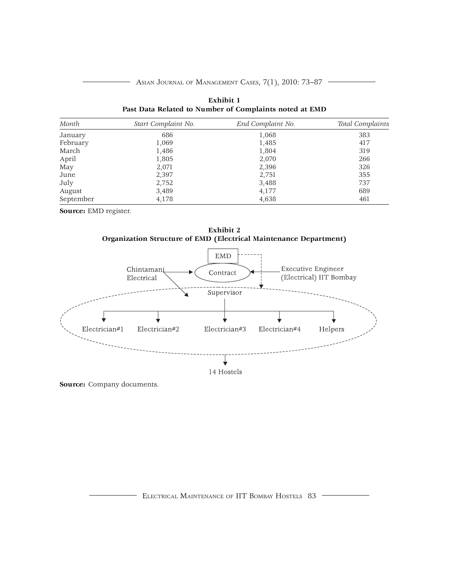| Month     | Start Complaint No. | End Complaint No. | Total Complaints |
|-----------|---------------------|-------------------|------------------|
|           |                     |                   |                  |
| January   | 686                 | 1,068             | 383              |
| February  | 1,069               | 1,485             | 417              |
| March     | 1,486               | 1,804             | 319              |
| April     | 1,805               | 2,070             | 266              |
| May       | 2,071               | 2,396             | 326              |
| June      | 2,397               | 2,751             | 355              |
| July      | 2,752               | 3,488             | 737              |
| August    | 3,489               | 4,177             | 689              |
| September | 4,178               | 4,638             | 461              |

| Exhibit 1                                              |
|--------------------------------------------------------|
| Past Data Related to Number of Complaints noted at EMD |

**Source:** EMD register.





**Source:** Company documents.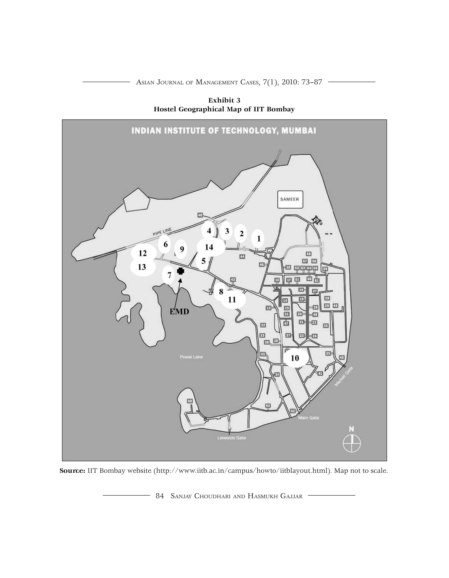INDIAN INSTITUTE OF TECHNOLOGY, MUMBAI SAMEER  $\overline{\bf{4}}$  $\overline{2}$  $\mathbf{1}$ 6 14 9  $12$  $\Box$  $\Box$ 5  $\Box$ 13 7 四四甲 西西 囸 8 团 四 11  $\Box$ 因 四四 国  $\mathbf{E}$  $\Box$ **EMD** 四 Ð 四一 ங் 四 四 团 四 四 47 四四 四 囨 10

**Exhibit 3 Hostel Geographical Map of IIT Bombay**

**Source:** IIT Bombay website (http://www.iitb.ac.in/campus/howto/iitblayout.html). Map not to scale.

84 SANJAY CHOUDHARI AND HASMUKH GAJJAR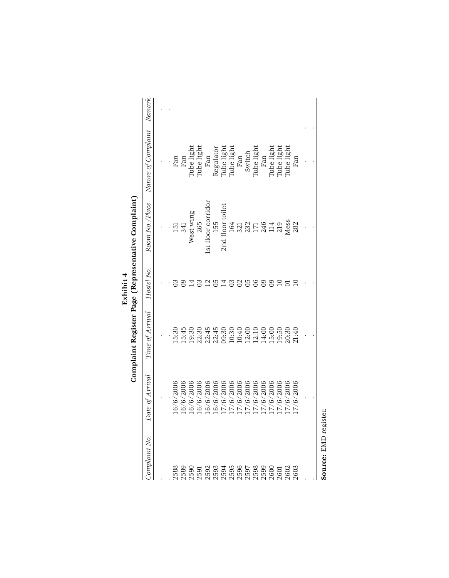|                       |                 |                                                                                                                                                                                                                                                                       |              | Complaint Register Page (Representative Complaint) |                          |        |
|-----------------------|-----------------|-----------------------------------------------------------------------------------------------------------------------------------------------------------------------------------------------------------------------------------------------------------------------|--------------|----------------------------------------------------|--------------------------|--------|
| Complaint No.         | Date of Arrival | Time of Arrival                                                                                                                                                                                                                                                       | Hostel No.   | Room No./Place                                     | Nature of Complaint      | Remark |
|                       |                 |                                                                                                                                                                                                                                                                       |              |                                                    |                          |        |
|                       |                 |                                                                                                                                                                                                                                                                       |              |                                                    |                          |        |
| 2588                  | 6/6/2006        | 5:30                                                                                                                                                                                                                                                                  |              | 151<br>341                                         | $_{\rm Fan}$             |        |
| 2589                  | 6/6/2006        | $-5:45$                                                                                                                                                                                                                                                               |              |                                                    | Fan                      |        |
| 2590                  | 6/6/2006        |                                                                                                                                                                                                                                                                       |              | West wing                                          | Iube ligh                |        |
| 2591                  | .6/6/2006       |                                                                                                                                                                                                                                                                       |              | 265                                                | Tube light               |        |
| 2592                  | 16/6/2006       | $\begin{array}{l} 19:30\\ 27:30\\ 28:45\\ 29:30\\ 20:30\\ 21:45\\ 20:30\\ 21:40\\ 22:50\\ 23:45\\ 24:50\\ 25:50\\ 26:50\\ 27:50\\ 28:50\\ 29:50\\ 21:50\\ 22:50\\ 24:50\\ 25:50\\ 26:50\\ 27:50\\ 28:50\\ 29:50\\ 20:50\\ 21:50\\ 22:50\\ 23:50\\ 24:50\\ 25:50\\ 26$ |              | 1st floor corridor                                 | Fan                      |        |
| 2593                  | 6/6/2006        |                                                                                                                                                                                                                                                                       |              | 155                                                | Regulator                |        |
| 2594                  | 7/6/2006        |                                                                                                                                                                                                                                                                       |              | 2nd floor toilet                                   |                          |        |
| 2595                  | 7/6/2006        |                                                                                                                                                                                                                                                                       |              | 164                                                | Tube light<br>Tube light |        |
| 2596                  | 7/6/2006        |                                                                                                                                                                                                                                                                       |              |                                                    | Fan                      |        |
| 2597                  | 7/6/2006        |                                                                                                                                                                                                                                                                       |              |                                                    | Switch                   |        |
| 2598                  | 7/6/2006        |                                                                                                                                                                                                                                                                       |              |                                                    | Iube light               |        |
| 2599                  | 7/6/2006        |                                                                                                                                                                                                                                                                       | $\mathbf{g}$ |                                                    | Fan                      |        |
| 2600                  | 7/6/2006        | 15:00                                                                                                                                                                                                                                                                 |              | $337740$<br>$33740$<br>$3419$                      | Iube light               |        |
| 2601                  | 7/6/2006        | 9:50                                                                                                                                                                                                                                                                  |              |                                                    | lube light               |        |
| 2602                  | 7/6/2006        | 20:30                                                                                                                                                                                                                                                                 |              | Mess                                               | lube light               |        |
| 2603                  | 7/6/2006        | 21:40                                                                                                                                                                                                                                                                 |              | 282                                                | Fan                      |        |
|                       |                 |                                                                                                                                                                                                                                                                       |              |                                                    |                          |        |
|                       |                 |                                                                                                                                                                                                                                                                       |              |                                                    |                          |        |
| Source: EMD register. |                 |                                                                                                                                                                                                                                                                       |              |                                                    |                          |        |

sentative Complaint) **Exhibit 4**

Source: EMD register.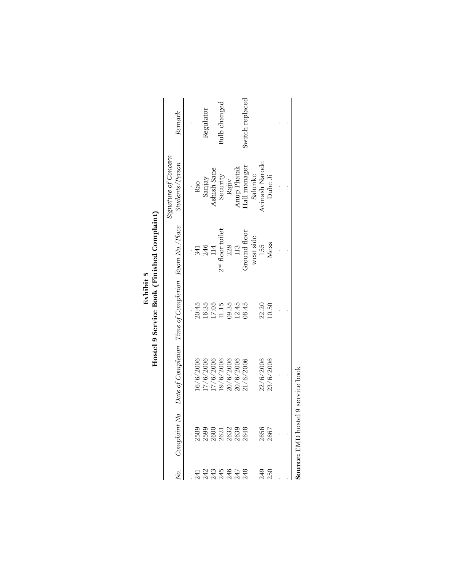|                                          |                                          |                                                                    | Hostel 9 Service Book (Finished Complaint)         |                               |                                                                                             |                 |
|------------------------------------------|------------------------------------------|--------------------------------------------------------------------|----------------------------------------------------|-------------------------------|---------------------------------------------------------------------------------------------|-----------------|
| Νo.                                      |                                          | Complaint No. Date of Completion Time of Completion Room No./Place |                                                    |                               | Signature of Concern<br>Students/Person                                                     | Remark          |
|                                          |                                          |                                                                    |                                                    |                               |                                                                                             |                 |
| 241                                      | 2589                                     | 16/6/2006                                                          |                                                    |                               |                                                                                             |                 |
|                                          |                                          | 7/6/2006                                                           | 20:45<br>16:35<br>17:05<br>17:15<br>08:45<br>08:45 | 346<br>246<br>114             |                                                                                             | Regulator       |
| 2<br>2 3 4 4 5<br>2 2 3 4 7<br>2 3 2 3 2 | 2599<br>2600<br>2621<br>2632<br>2648     | 7/6/2006                                                           |                                                    |                               |                                                                                             |                 |
|                                          |                                          | 19/6/2006                                                          |                                                    | $2^{\rm nd}$ floor to<br>ilet |                                                                                             | Bulb changed    |
|                                          |                                          | 20/6/2006                                                          |                                                    |                               |                                                                                             |                 |
|                                          |                                          | $\frac{20}{6}/\frac{6}{2006}$                                      |                                                    | 229<br>113                    |                                                                                             |                 |
| 248                                      |                                          |                                                                    |                                                    | Ground floor                  | Rao<br>Sanjay<br>Ashish Sane<br>Ascurity<br>Security<br>Rajiv<br>Anup Phatak<br>Anup Phatak | Switch replaced |
|                                          |                                          |                                                                    |                                                    | west side                     | Salunke                                                                                     |                 |
| 249                                      | 2656                                     | 22/6/2006                                                          | 22.20                                              | 155                           | Avinash Narode                                                                              |                 |
| 250                                      | 2667                                     | 23/6/2006                                                          | 10.50                                              | Mess                          | Dube Ji                                                                                     |                 |
|                                          |                                          |                                                                    |                                                    |                               |                                                                                             |                 |
|                                          |                                          |                                                                    |                                                    |                               |                                                                                             |                 |
|                                          | <b>Source:</b> EMD hostel 9 service book |                                                                    |                                                    |                               |                                                                                             |                 |

| $_{\rm xhaloi}$ | :<br>?<br>?                           |
|-----------------|---------------------------------------|
|                 | į<br>Ş<br>ر<br>البارالية<br>البارالية |
|                 | Ξ<br>Service<br>Ľ                     |

Source: EMD hostel 9 service book.